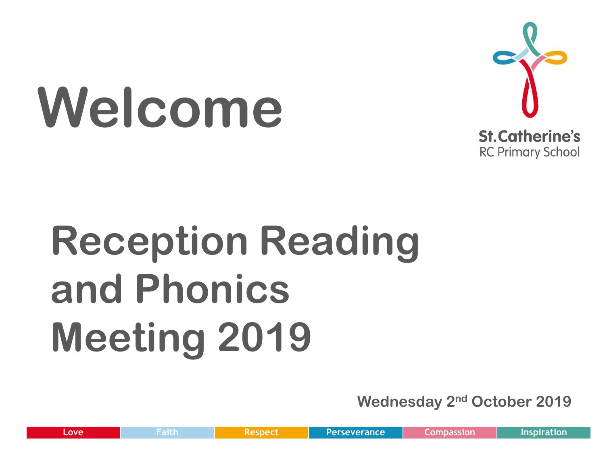# **Welcome**



## **Reception Reading and Phonics Meeting 2019**

**Wednesday 2nd October 2019**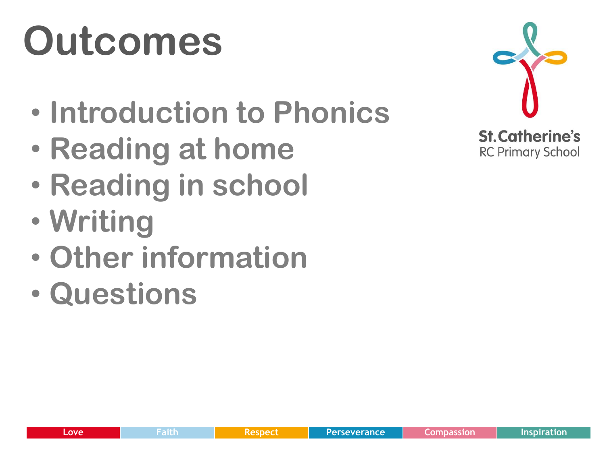## **Outcomes**

- **Introduction to Phonics**
- **Reading at home**
- **Reading in school**
- **Writing**
- **Other information**
- **Questions**

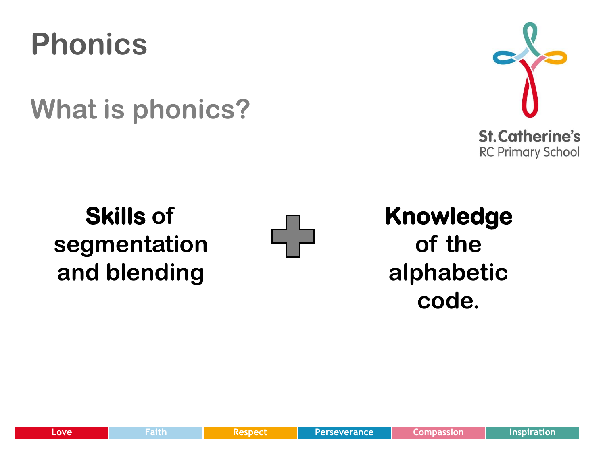

**What is phonics?**



**Skills of segmentation and blending**



**Knowledge of the alphabetic code.**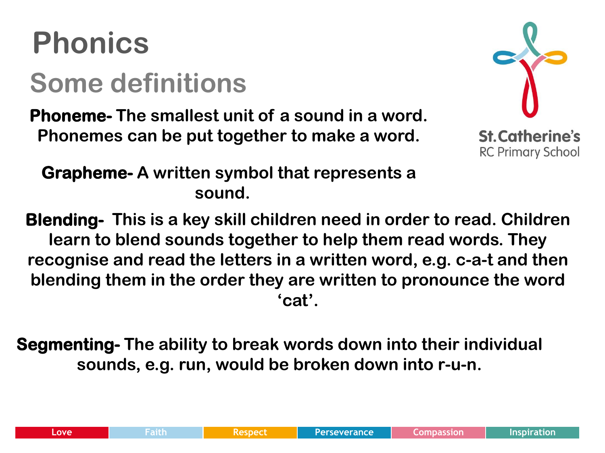#### **Phonics Some definitions**

**Phoneme- The smallest unit of a sound in a word. Phonemes can be put together to make a word.** 



 **Grapheme- A written symbol that represents a sound.** 

**Blending- This is a key skill children need in order to read. Children learn to blend sounds together to help them read words. They recognise and read the letters in a written word, e.g. c-a-t and then blending them in the order they are written to pronounce the word 'cat'.** 

**Segmenting- The ability to break words down into their individual sounds, e.g. run, would be broken down into r-u-n.**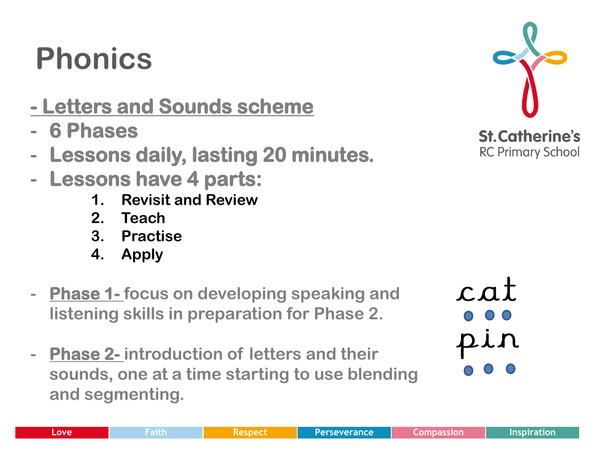#### **Phonics**

- **Letters and Sounds scheme**
- **- 6 Phases**
- **- Lessons daily, lasting 20 minutes.**
- **- Lessons have 4 parts:** 
	- **1. Revisit and Review**
	- **2. Teach**
	- **3. Practise**
	- **4. Apply**
- **- Phase 1- focus on developing speaking and listening skills in preparation for Phase 2.**
- **- Phase 2- introduction of letters and their sounds, one at a time starting to use blending and segmenting.**



 $cat$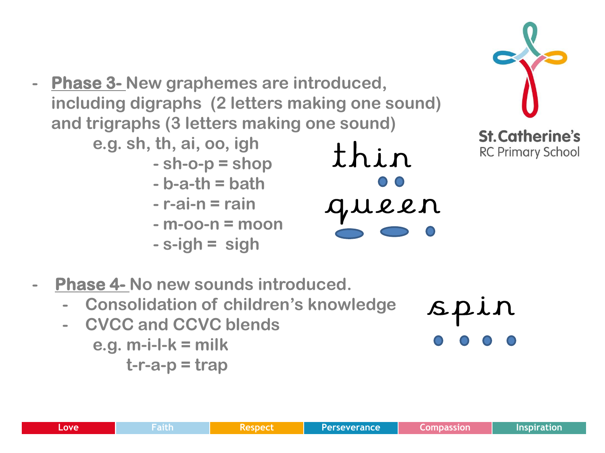- **- Phase 3- New graphemes are introduced, including digraphs (2 letters making one sound) and trigraphs (3 letters making one sound)** 
	- **e.g. sh, th, ai, oo, igh**
		- **- sh-o-p = shop**
		- **- b-a-th = bath**
		- **- r-ai-n = rain**
		- **- m-oo-n = moon**
		- **- s-igh = sigh**

thin gueen



- **- Phase 4- No new sounds introduced.** 
	- **- Consolidation of children's knowledge**
	- **- CVCC and CCVC blends e.g. m-i-l-k = milk**

 **t-r-a-p = trap**

spin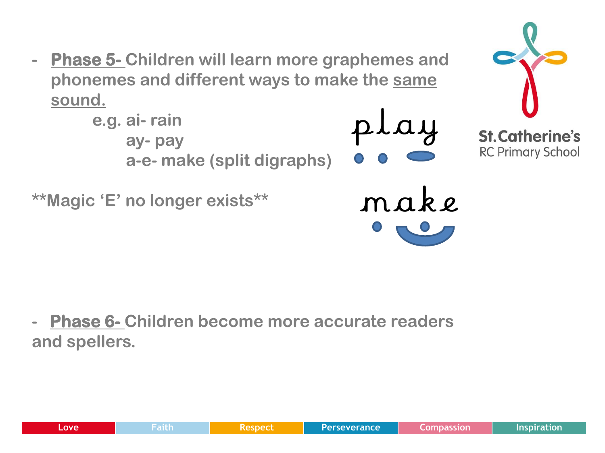**- Phase 5- Children will learn more graphemes and phonemes and different ways to make the same sound.** 



**- Phase 6- Children become more accurate readers and spellers.**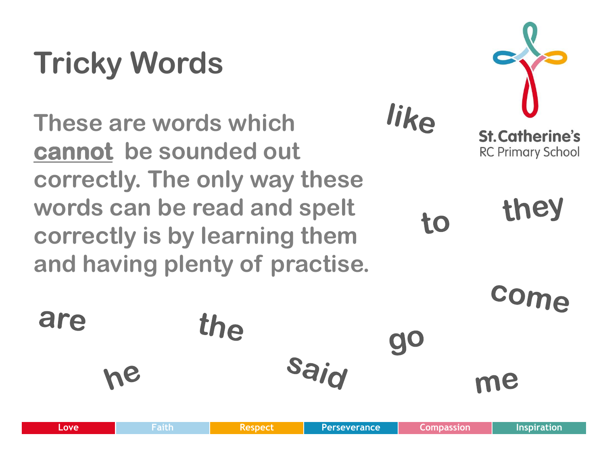### **Tricky Words**

**These are words which cannot be sounded out correctly. The only way these words can be read and spelt correctly is by learning them and having plenty of practise.**

the



they to

like

**go** 

Com

me

are

Sair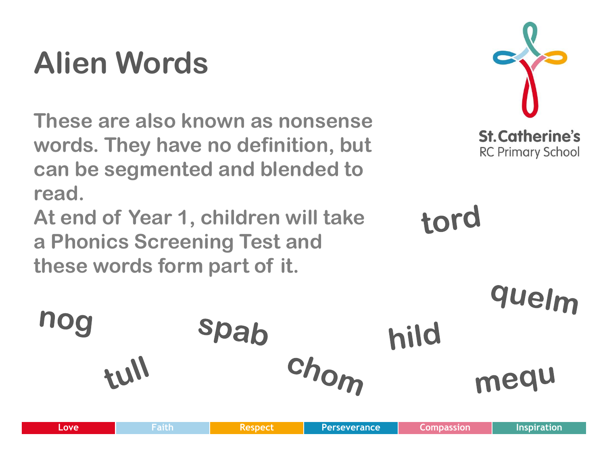#### **Alien Words**

**These are also known as nonsense words. They have no definition, but can be segmented and blended to read.** 

**At end of Year 1, children will take a Phonics Screening Test and these words form part of it.**



tord

quelm nog spab hild chom 1114 mequ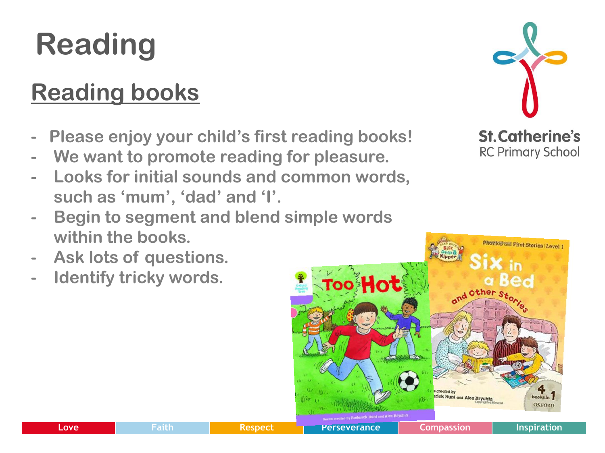#### **Reading**

#### **Reading books**

- **Please enjoy your child's first reading books!**
- **- We want to promote reading for pleasure.**
- **- Looks for initial sounds and common words, such as 'mum', 'dad' and 'I'.**



- **- Ask lots of questions.**
- **- Identify tricky words.**



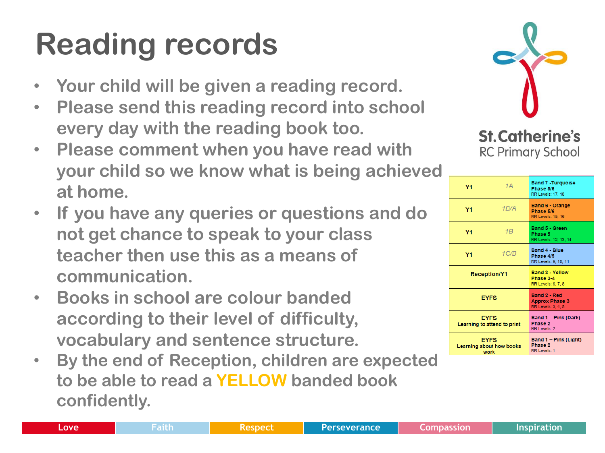#### **Reading records**

- **Your child will be given a reading record.**
- **Please send this reading record into school every day with the reading book too.**
- **Please comment when you have read with your child so we know what is being achieved at home.**
- **If you have any queries or questions and do not get chance to speak to your class teacher then use this as a means of communication.**
- **Books in school are colour banded according to their level of difficulty, vocabulary and sentence structure.**
- **By the end of Reception, children are expected to be able to read a YELLOW banded book confidently.**



**St. Catherine's RC Primary School** 

| Y <sub>1</sub>                                  | 1A   | <b>Band 7 - Turquoise</b><br>Phase 5/6<br><b>RR Levels: 17, 18</b> |
|-------------------------------------------------|------|--------------------------------------------------------------------|
| Y <sub>1</sub>                                  | 1B/A | <b>Band 6 - Orange</b><br>Phase 5/6<br><b>RR Levels: 15, 16</b>    |
| Y <sub>1</sub>                                  | 1B   | <b>Band 5 - Green</b><br>Phase 5<br>RR Levels: 12, 13, 14          |
| Y1                                              | 1C/B | <b>Band 4 - Blue</b><br>Phase 4/5<br>RR Levels: 9, 10, 11          |
| <b>Reception/Y1</b>                             |      | <b>Band 3 - Yellow</b><br>Phase 3-4<br>RR Levels: 6, 7, 8          |
| <b>EYFS</b>                                     |      | Band 2 - Red<br><b>Approx Phase 3</b><br>RR Levels: 3, 4, 5        |
| <b>FYFS</b><br>Learning to attend to print      |      | Band 1 - Pink (Dark)<br>Phase 2<br>RR Levels: 2                    |
| <b>EYFS</b><br>Learning about how books<br>work |      | Band 1 – Pink (Light)<br>Phase 2<br><b>RR Levels: 1</b>            |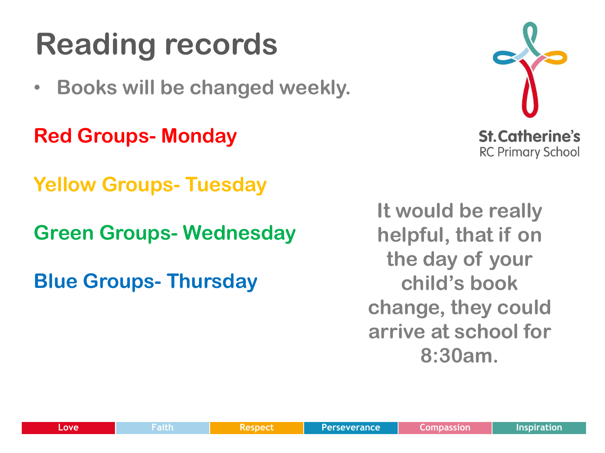#### **Reading records**

• **Books will be changed weekly.**

**Red Groups- Monday**

**Yellow Groups- Tuesday**

**Green Groups- Wednesday**

**Blue Groups- Thursday**

**It would be really helpful, that if on the day of your child's book change, they could arrive at school for 8:30am.** 

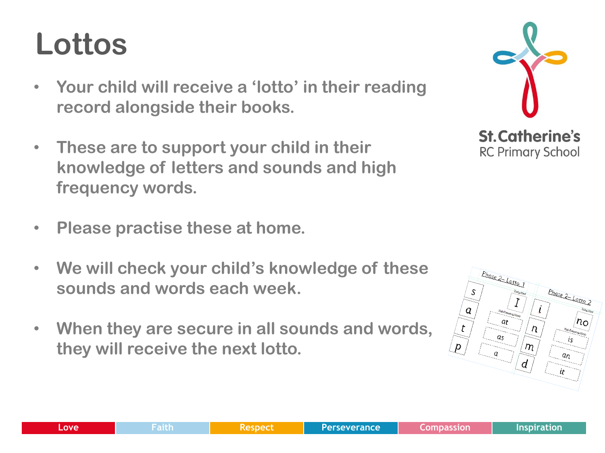### **Lottos**

- **Your child will receive a 'lotto' in their reading record alongside their books.**
- **These are to support your child in their knowledge of letters and sounds and high frequency words.**
- **Please practise these at home.**
- **We will check your child's knowledge of these sounds and words each week.**
- **When they are secure in all sounds and words, they will receive the next lotto.**



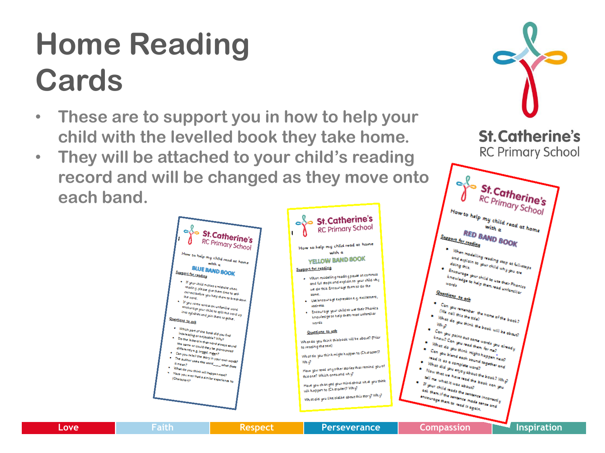#### **Home Reading Cards**

- **These are to support you in how to help your child with the levelled book they take home.**
- **They will be attached to your child's reading record and will be changed as they move onto each band.**



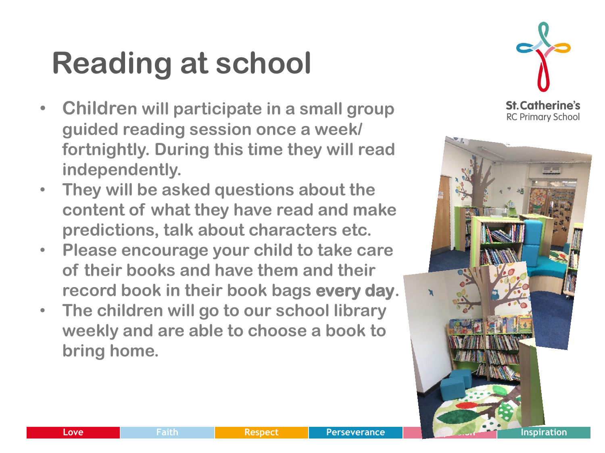#### **Reading at school**

- **Children will participate in a small group guided reading session once a week/ fortnightly. During this time they will read independently.**
- **They will be asked questions about the content of what they have read and make predictions, talk about characters etc.**
- **Please encourage your child to take care of their books and have them and their record book in their book bags every day.**
- **The children will go to our school library weekly and are able to choose a book to bring home.**



**St. Catherine's RC Primary School** 

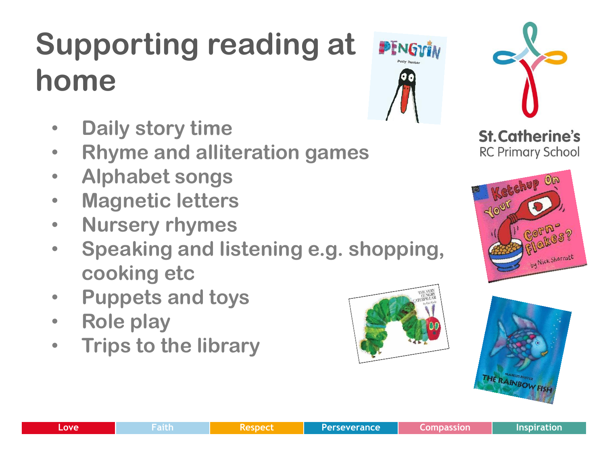### **Supporting reading at home**

- **Daily story time**
- **Rhyme and alliteration games**
- **Alphabet songs**
- **Magnetic letters**
- **Nursery rhymes**
- **Speaking and listening e.g. shopping, cooking etc**
- **Puppets and toys**
- **Role play**
- **Trips to the library**











![](_page_15_Picture_20.jpeg)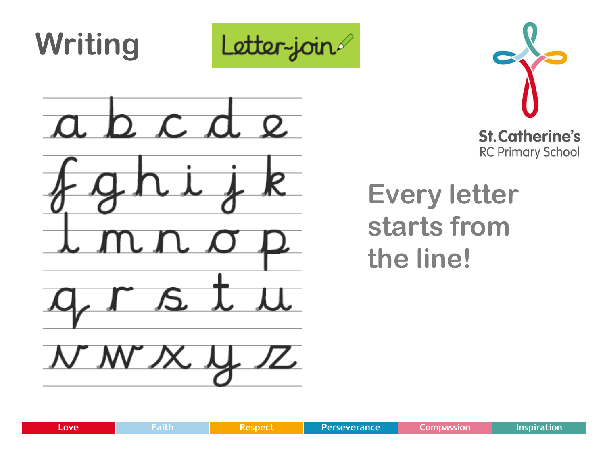![](_page_16_Picture_0.jpeg)

![](_page_16_Picture_1.jpeg)

**Every letter starts from the line!**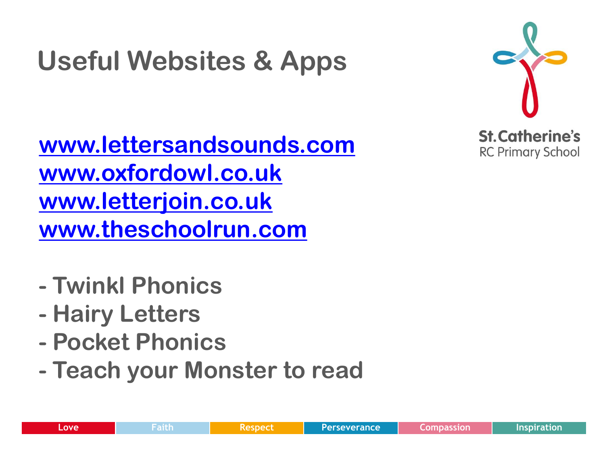#### **Useful Websites & Apps**

**[www.lettersandsounds.com](http://www.lettersandsounds.com/) [www.oxfordowl.co.uk](http://www.oxfordowl.co.uk/) [www.letterjoin.co.uk](http://www.letterjoin.co.uk/) [www.theschoolrun.com](http://www.theschoolrun.com/)**

**St. Catherine's RC Primary School** 

- **- Twinkl Phonics**
- **- Hairy Letters**
- **- Pocket Phonics**
- **- Teach your Monster to read**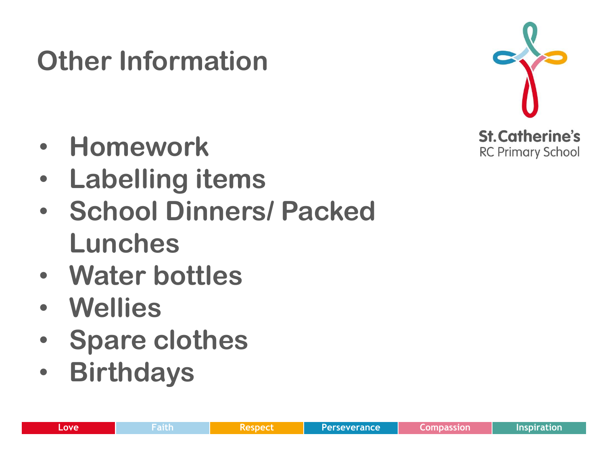- **Homework**
- **Labelling items**

**Other Information**

- **School Dinners/ Packed Lunches**
- **Water bottles**
- **Wellies**
- **Spare clothes**
- **Birthdays**

![](_page_18_Picture_8.jpeg)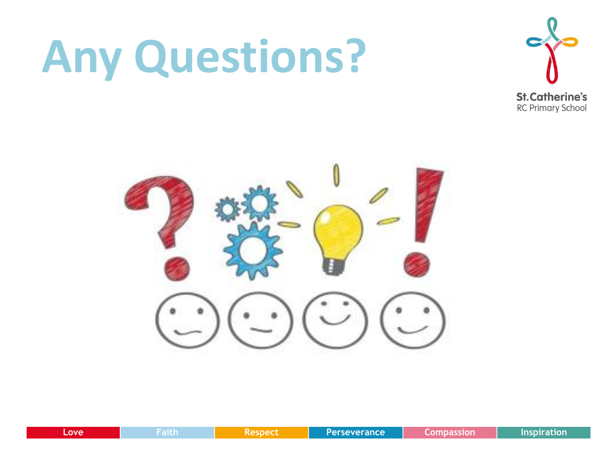## **Any Questions?**

![](_page_19_Picture_1.jpeg)

![](_page_19_Picture_2.jpeg)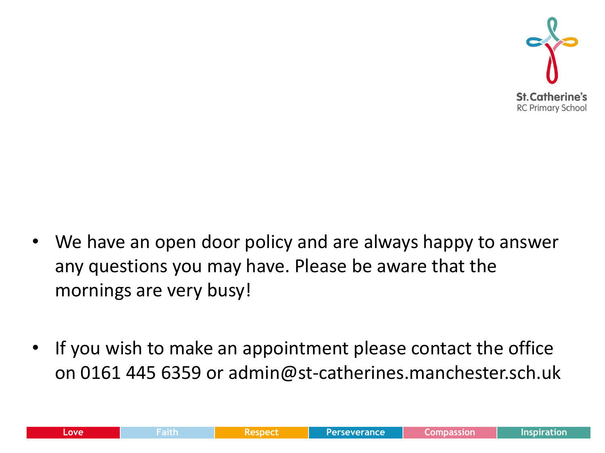![](_page_20_Picture_0.jpeg)

- We have an open door policy and are always happy to answer any questions you may have. Please be aware that the mornings are very busy!
- If you wish to make an appointment please contact the office on 0161 445 6359 or admin@st-catherines.manchester.sch.uk